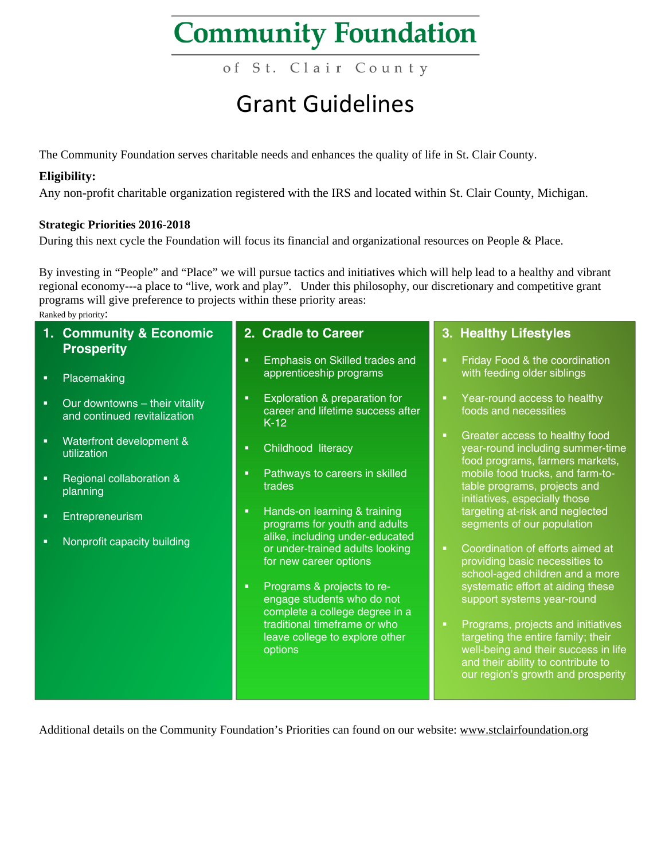of St. Clair County

### Grant Guidelines

The Community Foundation serves charitable needs and enhances the quality of life in St. Clair County.

#### **Eligibility:**

Any non-profit charitable organization registered with the IRS and located within St. Clair County, Michigan.

#### **Strategic Priorities 2016-2018**

During this next cycle the Foundation will focus its financial and organizational resources on People & Place.

By investing in "People" and "Place" we will pursue tactics and initiatives which will help lead to a healthy and vibrant regional economy---a place to "live, work and play". Under this philosophy, our discretionary and competitive grant programs will give preference to projects within these priority areas:

Ranked by priority:

| 2. Cradle to Career                                                                             | 3. Healthy Lifestyles                                                                                                                                                                              |
|-------------------------------------------------------------------------------------------------|----------------------------------------------------------------------------------------------------------------------------------------------------------------------------------------------------|
| Emphasis on Skilled trades and<br>п                                                             | Friday Food & the coordination<br>п<br>with feeding older siblings                                                                                                                                 |
|                                                                                                 |                                                                                                                                                                                                    |
| Exploration & preparation for<br>п<br>career and lifetime success after<br>$K-12$               | Year-round access to healthy<br>foods and necessities                                                                                                                                              |
| Childhood literacy<br>п                                                                         | Greater access to healthy food<br>п<br>year-round including summer-time<br>food programs, farmers markets,                                                                                         |
| Pathways to careers in skilled<br>п<br>trades                                                   | mobile food trucks, and farm-to-<br>table programs, projects and<br>initiatives, especially those                                                                                                  |
| $\blacksquare$<br>programs for youth and adults                                                 | targeting at-risk and neglected<br>segments of our population                                                                                                                                      |
| or under-trained adults looking<br>for new career options                                       | Coordination of efforts aimed at<br>п<br>providing basic necessities to<br>school-aged children and a more                                                                                         |
| Programs & projects to re-<br>п<br>engage students who do not<br>complete a college degree in a | systematic effort at aiding these<br>support systems year-round                                                                                                                                    |
| traditional timeframe or who<br>leave college to explore other<br>options                       | Programs, projects and initiatives<br>п.<br>targeting the entire family; their<br>well-being and their success in life<br>and their ability to contribute to<br>our region's growth and prosperity |
|                                                                                                 | apprenticeship programs<br>Hands-on learning & training<br>alike, including under-educated                                                                                                         |

Additional details on the Community Foundation's Priorities can found on our website: www.stclairfoundation.org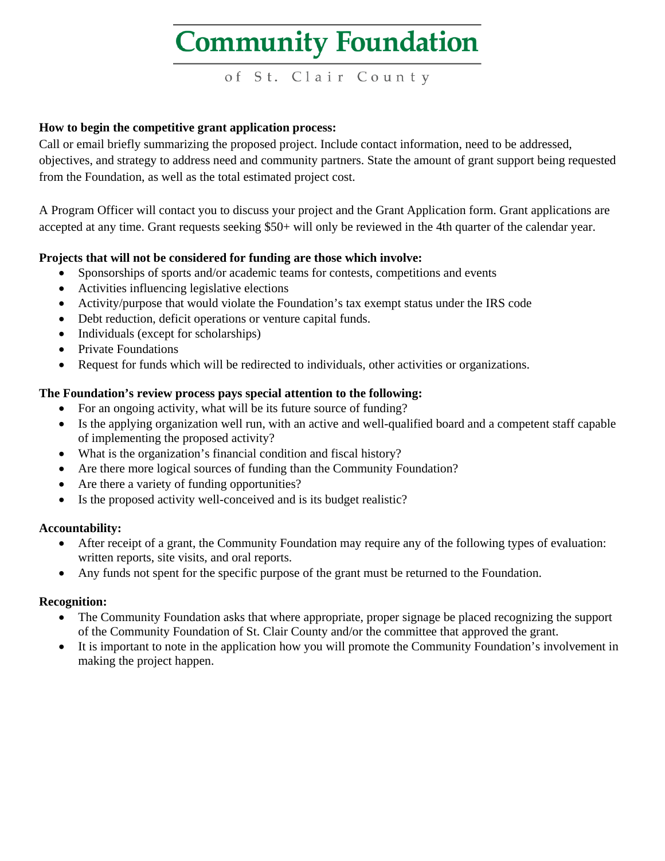of St. Clair County

#### **How to begin the competitive grant application process:**

Call or email briefly summarizing the proposed project. Include contact information, need to be addressed, objectives, and strategy to address need and community partners. State the amount of grant support being requested from the Foundation, as well as the total estimated project cost.

A Program Officer will contact you to discuss your project and the Grant Application form. Grant applications are accepted at any time. Grant requests seeking \$50+ will only be reviewed in the 4th quarter of the calendar year.

#### **Projects that will not be considered for funding are those which involve:**

- Sponsorships of sports and/or academic teams for contests, competitions and events
- Activities influencing legislative elections
- Activity/purpose that would violate the Foundation's tax exempt status under the IRS code
- Debt reduction, deficit operations or venture capital funds.
- Individuals (except for scholarships)
- Private Foundations
- Request for funds which will be redirected to individuals, other activities or organizations.

#### **The Foundation's review process pays special attention to the following:**

- For an ongoing activity, what will be its future source of funding?
- Is the applying organization well run, with an active and well-qualified board and a competent staff capable of implementing the proposed activity?
- What is the organization's financial condition and fiscal history?
- Are there more logical sources of funding than the Community Foundation?
- Are there a variety of funding opportunities?
- Is the proposed activity well-conceived and is its budget realistic?

#### **Accountability:**

- After receipt of a grant, the Community Foundation may require any of the following types of evaluation: written reports, site visits, and oral reports.
- Any funds not spent for the specific purpose of the grant must be returned to the Foundation.

#### **Recognition:**

- The Community Foundation asks that where appropriate, proper signage be placed recognizing the support of the Community Foundation of St. Clair County and/or the committee that approved the grant.
- It is important to note in the application how you will promote the Community Foundation's involvement in making the project happen.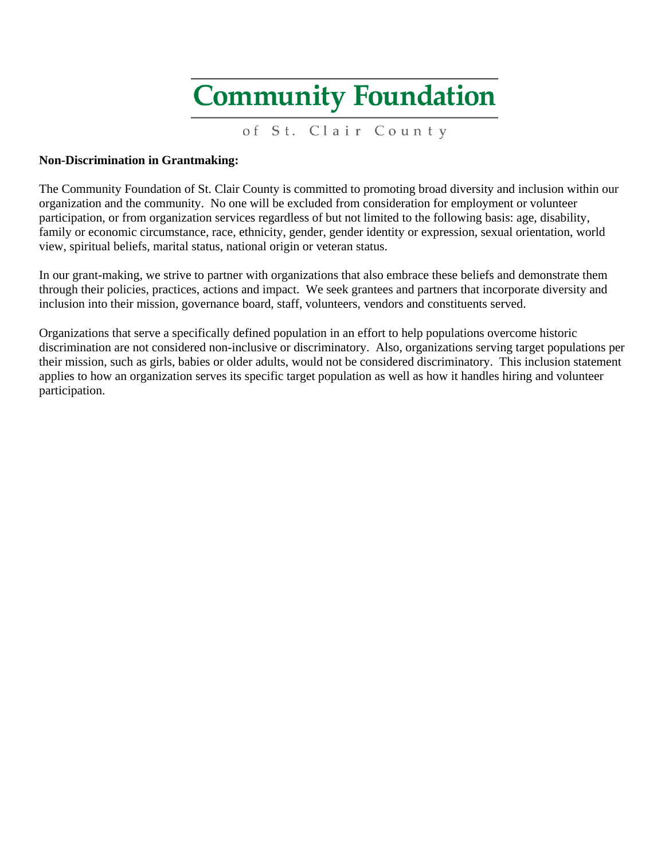of St. Clair County

#### **Non-Discrimination in Grantmaking:**

The Community Foundation of St. Clair County is committed to promoting broad diversity and inclusion within our organization and the community. No one will be excluded from consideration for employment or volunteer participation, or from organization services regardless of but not limited to the following basis: age, disability, family or economic circumstance, race, ethnicity, gender, gender identity or expression, sexual orientation, world view, spiritual beliefs, marital status, national origin or veteran status.

In our grant-making, we strive to partner with organizations that also embrace these beliefs and demonstrate them through their policies, practices, actions and impact. We seek grantees and partners that incorporate diversity and inclusion into their mission, governance board, staff, volunteers, vendors and constituents served.

Organizations that serve a specifically defined population in an effort to help populations overcome historic discrimination are not considered non-inclusive or discriminatory. Also, organizations serving target populations per their mission, such as girls, babies or older adults, would not be considered discriminatory. This inclusion statement applies to how an organization serves its specific target population as well as how it handles hiring and volunteer participation.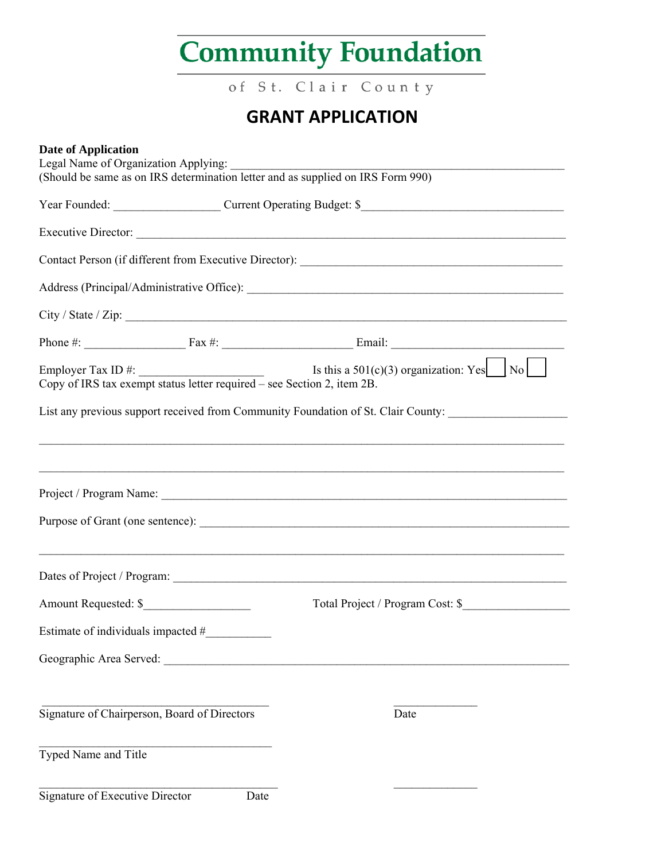of St. Clair County

### **GRANT APPLICATION**

| <b>Date of Application</b>                                                                                                                                                  | Legal Name of Organization Applying: _________ |                                                                                   |  |  |
|-----------------------------------------------------------------------------------------------------------------------------------------------------------------------------|------------------------------------------------|-----------------------------------------------------------------------------------|--|--|
|                                                                                                                                                                             |                                                | (Should be same as on IRS determination letter and as supplied on IRS Form 990)   |  |  |
|                                                                                                                                                                             | Year Founded: Current Operating Budget: \$     |                                                                                   |  |  |
|                                                                                                                                                                             |                                                |                                                                                   |  |  |
|                                                                                                                                                                             |                                                |                                                                                   |  |  |
|                                                                                                                                                                             |                                                |                                                                                   |  |  |
|                                                                                                                                                                             |                                                |                                                                                   |  |  |
|                                                                                                                                                                             |                                                |                                                                                   |  |  |
| Employer Tax ID #: $\frac{1}{\text{Copy of IRS tax exempt status letter required - see Section 2, item 2B}}$ Is this a 501(c)(3) organization: Yes $\frac{1}{\text{No}}$ No |                                                |                                                                                   |  |  |
|                                                                                                                                                                             |                                                | List any previous support received from Community Foundation of St. Clair County: |  |  |
|                                                                                                                                                                             |                                                |                                                                                   |  |  |
|                                                                                                                                                                             |                                                | ,我们也不能在这里的人,我们也不能在这里的人,我们也不能在这里的人,我们也不能在这里的人,我们也不能在这里的人,我们也不能在这里的人,我们也不能在这里的人,我们也 |  |  |
|                                                                                                                                                                             |                                                |                                                                                   |  |  |
|                                                                                                                                                                             |                                                |                                                                                   |  |  |
|                                                                                                                                                                             |                                                |                                                                                   |  |  |
|                                                                                                                                                                             |                                                |                                                                                   |  |  |
|                                                                                                                                                                             |                                                |                                                                                   |  |  |
| Estimate of individuals impacted #                                                                                                                                          |                                                |                                                                                   |  |  |
|                                                                                                                                                                             |                                                |                                                                                   |  |  |
|                                                                                                                                                                             |                                                |                                                                                   |  |  |
| Signature of Chairperson, Board of Directors                                                                                                                                |                                                | Date                                                                              |  |  |
|                                                                                                                                                                             |                                                |                                                                                   |  |  |
| Typed Name and Title                                                                                                                                                        |                                                |                                                                                   |  |  |
|                                                                                                                                                                             |                                                |                                                                                   |  |  |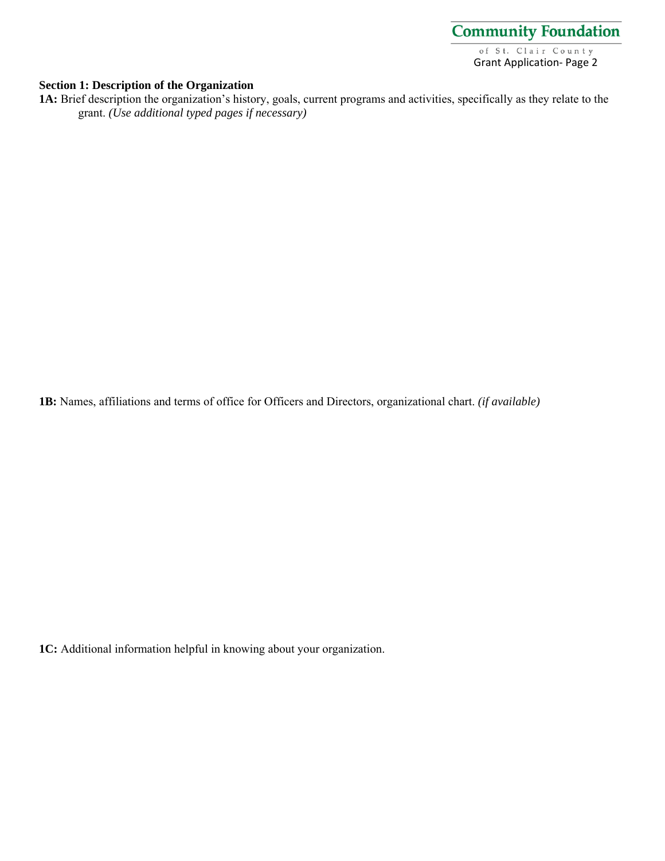

#### **Section 1: Description of the Organization**

1A: Brief description the organization's history, goals, current programs and activities, specifically as they relate to the grant. *(Use additional typed pages if necessary)*

**1B:** Names, affiliations and terms of office for Officers and Directors, organizational chart. *(if available)*

**1C:** Additional information helpful in knowing about your organization.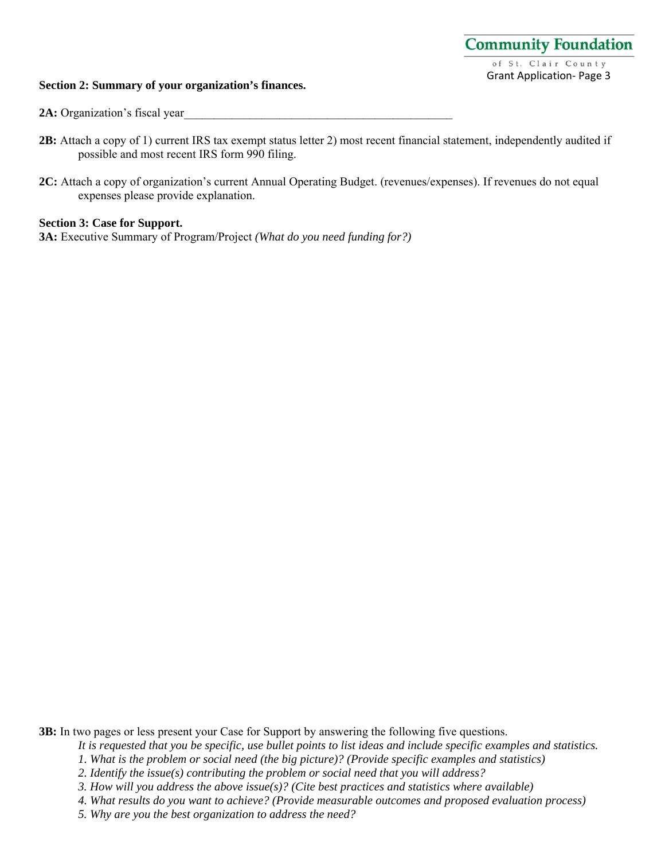#### **Section 2: Summary of your organization's finances.**

**2A:** Organization's fiscal year

- **2B:** Attach a copy of 1) current IRS tax exempt status letter 2) most recent financial statement, independently audited if possible and most recent IRS form 990 filing.
- **2C:** Attach a copy of organization's current Annual Operating Budget. (revenues/expenses). If revenues do not equal expenses please provide explanation.

#### **Section 3: Case for Support.**

**3A:** Executive Summary of Program/Project *(What do you need funding for?)*

**3B:** In two pages or less present your Case for Support by answering the following five questions.

*It is requested that you be specific, use bullet points to list ideas and include specific examples and statistics.* 

*1. What is the problem or social need (the big picture)? (Provide specific examples and statistics)* 

*2. Identify the issue(s) contributing the problem or social need that you will address?* 

*3. How will you address the above issue(s)? (Cite best practices and statistics where available)* 

*4. What results do you want to achieve? (Provide measurable outcomes and proposed evaluation process)* 

*5. Why are you the best organization to address the need?*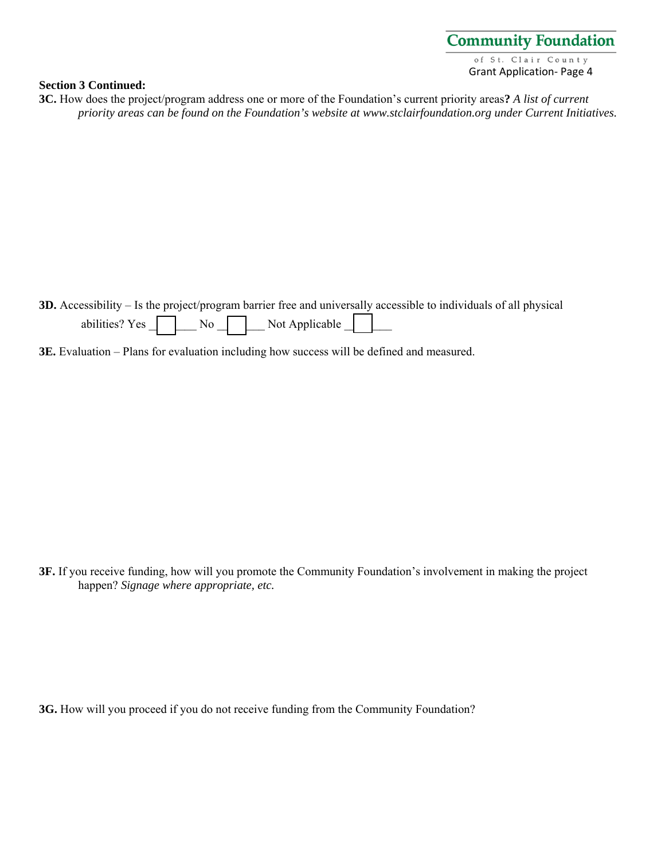#### **Section 3 Continued:**

**3C.** How does the project/program address one or more of the Foundation's current priority areas**?** *A list of current priority areas can be found on the Foundation's website at www.stclairfoundation.org under Current Initiatives.* 

**3D.** Accessibility – Is the project/program barrier free and universally accessible to individuals of all physical abilities?  $Yes \frown\Box$  No  $\frown\Box$  Not Applicable  $\Box$ 

**3E.** Evaluation – Plans for evaluation including how success will be defined and measured.

**3F.** If you receive funding, how will you promote the Community Foundation's involvement in making the project happen? *Signage where appropriate, etc.*

**3G.** How will you proceed if you do not receive funding from the Community Foundation?